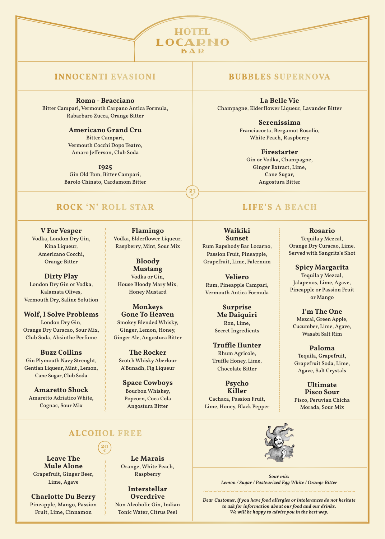## **INNOCENTI EVASIONI BUBBLES SUPERNOVA**

### **Roma - Bracciano**

Bitter Campari, Vermouth Carpano Antica Formula, Rabarbaro Zucca, Orange Bitter

> **Americano Grand Cru** Bitter Campari, Vermouth Cocchi Dopo Teatro,

Amaro Jefferson, Club Soda

**1925** Gin Old Tom, Bitter Campari, Barolo Chinato, Cardamom Bitter

## **ROCK 'N' ROLL STAR LIFE'S A BEACH**

**ALCOHOL FREE**

**20 €**

**V For Vesper** Vodka, London Dry Gin, Kina Liqueur, Americano Cocchi, Orange Bitter

**Dirty Play**  London Dry Gin or Vodka, Kalamata Olives, Vermouth Dry, Saline Solution

**Wolf, I Solve Problems** London Dry Gin, Orange Dry Curacao, Sour Mix, Club Soda, Absinthe Perfume

**Buzz Collins** Gin Plymouth Navy Strenght, Gentian Liqueur, Mint , Lemon, Cane Sugar, Club Soda

**Amaretto Shock**  Amaretto Adriatico White, Cognac, Sour Mix

**Flamingo** Vodka, Elderflower Liqueur, Raspberry, Mint, Sour Mix

**23 €**

**HÔTEL LOCARNO BAR** 

**Bloody Mustang**  Vodka or Gin, House Bloody Mary Mix, Honey Mustard

**Monkeys Gone To Heaven** Smokey Blended Whisky, Ginger, Lemon, Honey, Ginger Ale, Angostura Bitter

**The Rocker** Scotch Whisky Aberlour A'Bunadh, Fig Liqueur

**Space Cowboys**  Bourbon Whiskey, Popcorn, Coca Cola Angostura Bitter

**La Belle Vie** Champagne, Elderflower Liqueur, Lavander Bitter

> **Serenissima** Franciacorta, Bergamot Rosolio, White Peach, Raspberry

> > **Firestarter** Gin or Vodka, Champagne, Ginger Extract, Lime, Cane Sugar, Angostura Bitter

**Waikiki Sunset** Rum Rapshody Bar Locarno, Passion Fruit, Pineapple, Grapefruit, Lime, Falernum

**Veliero** Rum, Pineapple Campari, Vermouth Antica Formula

> **Surprise Me Daiquiri**  Ron, Lime, Secret Ingredients

**Truffle Hunter** Rhum Agricole, Truffle Honey, Lime, Chocolate Bitter

> **Psycho Killer**

Cachaca, Passion Fruit, Lime, Honey, Black Pepper



*Sour mix: Lemon / Sugar / Pasteurized Egg White / Orange Bitter*

**Charlotte Du Berry** Pineapple, Mango, Passion Fruit, Lime, Cinnamon

**Leave The Mule Alone** Grapefruit, Ginger Beer, Lime, Agave

**Le Marais** Orange, White Peach, Raspberry

**Interstellar Overdrive** Non Alcoholic Gin, Indian

Tonic Water, Citrus Peel

*Dear Customer, if you have food allergies or intolerances do not hesitate to ask for information about our food and our drinks. We will be happy to advise you in the best way.*

**Rosario** Tequila y Mezcal, Orange Dry Curacao, Lime. Served with Sangrita's Shot

**Spicy Margarita**  Tequila y Mezcal, Jalapenos, Lime, Agave, Pineapple or Passion Fruit or Mango

**I'm The One** Mezcal, Green Apple, Cucumber, Lime, Agave, Wasabi Salt Rim

**Paloma** Tequila, Grapefruit, Grapefruit Soda, Lime, Agave, Salt Crystals

**Ultimate Pisco Sour**  Pisco, Peruvian Chicha Morada, Sour Mix